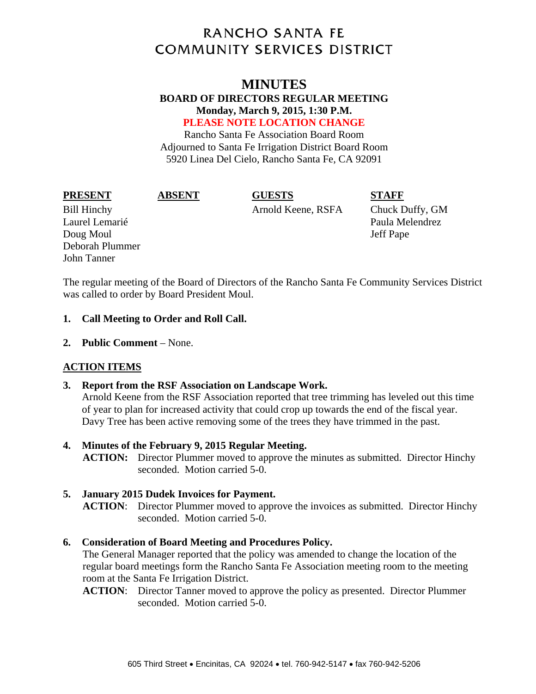# **RANCHO SANTA FE COMMUNITY SERVICES DISTRICT**

# **MINUTES**

### **BOARD OF DIRECTORS REGULAR MEETING Monday, March 9, 2015, 1:30 P.M. PLEASE NOTE LOCATION CHANGE**

Rancho Santa Fe Association Board Room Adjourned to Santa Fe Irrigation District Board Room 5920 Linea Del Cielo, Rancho Santa Fe, CA 92091

**PRESENT ABSENT GUESTS STAFF** 

Bill Hinchy Arnold Keene, RSFA Chuck Duffy, GM

Laurel Lemarié d'avant de la commune de la commune de la partie de la partie de la partie de la partie de la p Doug Moul and the state of the state of the state of the state of the state of the state of the state of the state of the state of the state of the state of the state of the state of the state of the state of the state of Deborah Plummer John Tanner

The regular meeting of the Board of Directors of the Rancho Santa Fe Community Services District was called to order by Board President Moul.

### **1. Call Meeting to Order and Roll Call.**

**2. Public Comment** – None.

# **ACTION ITEMS**

# **3. Report from the RSF Association on Landscape Work.**

Arnold Keene from the RSF Association reported that tree trimming has leveled out this time of year to plan for increased activity that could crop up towards the end of the fiscal year. Davy Tree has been active removing some of the trees they have trimmed in the past.

# **4. Minutes of the February 9, 2015 Regular Meeting.**

**ACTION:** Director Plummer moved to approve the minutes as submitted. Director Hinchy seconded. Motion carried 5-0.

# **5. January 2015 Dudek Invoices for Payment.**

**ACTION**: Director Plummer moved to approve the invoices as submitted. Director Hinchy seconded. Motion carried 5-0.

### **6. Consideration of Board Meeting and Procedures Policy.**

The General Manager reported that the policy was amended to change the location of the regular board meetings form the Rancho Santa Fe Association meeting room to the meeting room at the Santa Fe Irrigation District.

**ACTION**: Director Tanner moved to approve the policy as presented. Director Plummer seconded. Motion carried 5-0.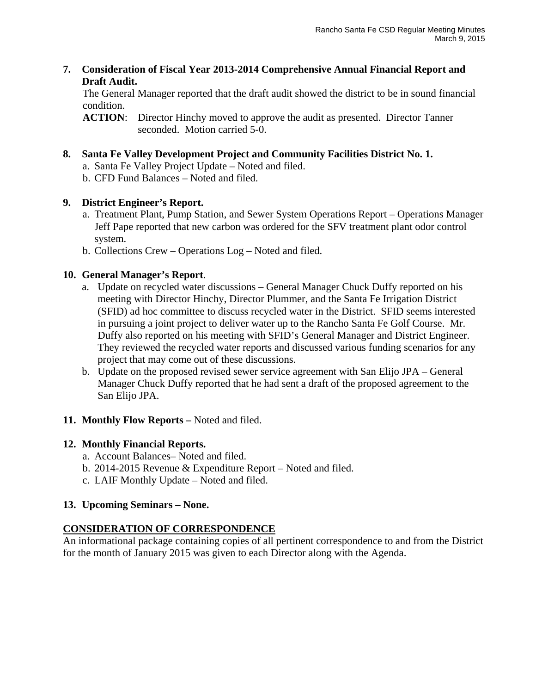**7. Consideration of Fiscal Year 2013-2014 Comprehensive Annual Financial Report and Draft Audit.** 

The General Manager reported that the draft audit showed the district to be in sound financial condition.

**ACTION**: Director Hinchy moved to approve the audit as presented. Director Tanner seconded. Motion carried 5-0.

- **8. Santa Fe Valley Development Project and Community Facilities District No. 1.** 
	- a. Santa Fe Valley Project Update Noted and filed.
	- b. CFD Fund Balances Noted and filed.

# **9. District Engineer's Report.**

- a. Treatment Plant, Pump Station, and Sewer System Operations Report Operations Manager Jeff Pape reported that new carbon was ordered for the SFV treatment plant odor control system.
- b. Collections Crew Operations Log Noted and filed.

# **10. General Manager's Report**.

- a. Update on recycled water discussions General Manager Chuck Duffy reported on his meeting with Director Hinchy, Director Plummer, and the Santa Fe Irrigation District (SFID) ad hoc committee to discuss recycled water in the District. SFID seems interested in pursuing a joint project to deliver water up to the Rancho Santa Fe Golf Course. Mr. Duffy also reported on his meeting with SFID's General Manager and District Engineer. They reviewed the recycled water reports and discussed various funding scenarios for any project that may come out of these discussions.
- b. Update on the proposed revised sewer service agreement with San Elijo JPA General Manager Chuck Duffy reported that he had sent a draft of the proposed agreement to the San Elijo JPA.
- **11. Monthly Flow Reports –** Noted and filed.

# **12. Monthly Financial Reports.**

- a. Account Balances– Noted and filed.
- b. 2014-2015 Revenue & Expenditure Report Noted and filed.
- c. LAIF Monthly Update Noted and filed.

# **13. Upcoming Seminars – None.**

# **CONSIDERATION OF CORRESPONDENCE**

An informational package containing copies of all pertinent correspondence to and from the District for the month of January 2015 was given to each Director along with the Agenda.